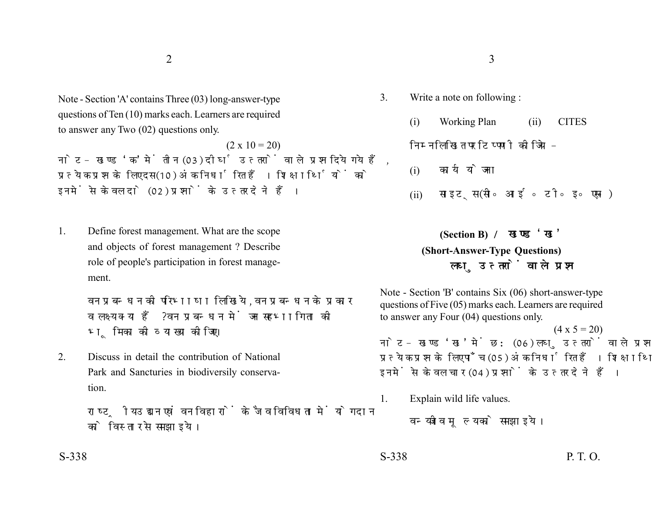Note - Section 'A' contains Three (03) long-answer-type questions of Ten (10) marks each. Learners are required to answer any Two (02) questions only.

 $(2 \times 10 = 20)$ नोट- खण्ड 'क' में तीन (03) दीर्घ उत्तरों वाले प्रश्न दिये गये हैं. प्रत्येक प्रश्न के लिए दस (10) अंक निर्धारित हैं। शिक्षार्थियों को इनमें से केवल दो (02) प्रश्नों के उत्तर देने हैं।

1. Define forest management. What are the scope and objects of forest management ? Describe role of people's participation in forest management.

> वन प्रबन्धन की परिभाषा लिखिये. वन प्रबन्धन के प्रकार व लक्ष्य क्या हैं? वन प्रबन्धन में जन सहभागिता की भूमिका की व्याख्या कीजिए।

2. Discuss in detail the contribution of National Park and Sancturies in biodiversily conservation.

> राष्ट्रीय उद्यान एवं वन विहारों के जैव विविधता में योगदान को विस्तार से समझाइये।

- 3. Write a note on following :
	- (i) Working Plan (ii) CITES

## निम्नलिखित पर टिप्पणी कोजिये -

- (i)
- (ii) साइटस (सी॰ आई॰ टी॰ इ॰ एस॰)

## **(Section B) (Short-Answer-Type Questions)** लघ उत्तरों वाले प्रश्न

Note - Section 'B' contains Six (06) short-answer-type questions of Five (05) marks each. Learners are required to answer any Four (04) questions only.

 $(4 \times 5 = 20)$ 

नोट- खण्ड 'ख' में छ: (06) लघु उत्तरों वाले प्रश्न दिये गये हैं, प्रत्येक प्रश्न के लिए पाँच (05) अंक निर्धारित हैं। शिक्षार्थियों को इनमें से केवल चार (04) प्रश्नों के उत्तर देने हैं।

1. Explain wild life values.

वन्यजीव मुल्य को समझाइये।